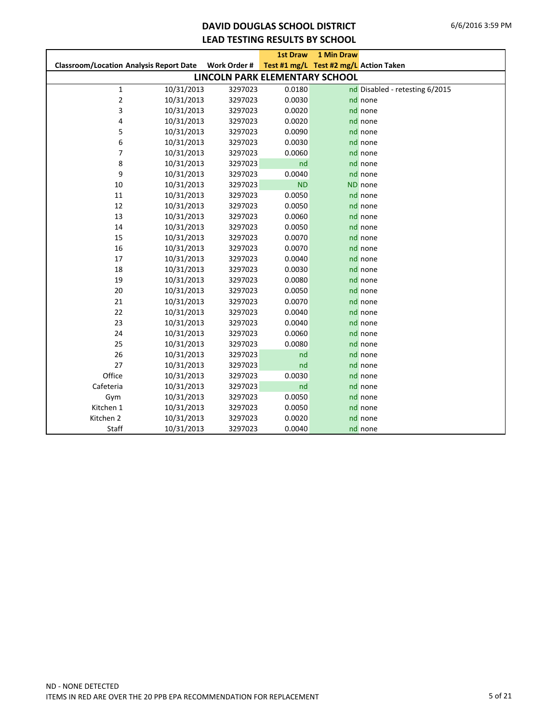### **DAVID DOUGLAS SCHOOL DISTRICT LEAD TESTING RESULTS BY SCHOOL**

|                                                |            |                                | <b>1st Draw</b> | <b>1 Min Draw</b>                      |                                |
|------------------------------------------------|------------|--------------------------------|-----------------|----------------------------------------|--------------------------------|
| <b>Classroom/Location Analysis Report Date</b> |            | Work Order #                   |                 | Test #1 mg/L Test #2 mg/L Action Taken |                                |
|                                                |            | LINCOLN PARK ELEMENTARY SCHOOL |                 |                                        |                                |
| $\mathbf 1$                                    | 10/31/2013 | 3297023                        | 0.0180          |                                        | nd Disabled - retesting 6/2015 |
| 2                                              | 10/31/2013 | 3297023                        | 0.0030          |                                        | nd none                        |
| 3                                              | 10/31/2013 | 3297023                        | 0.0020          |                                        | nd none                        |
| 4                                              | 10/31/2013 | 3297023                        | 0.0020          |                                        | nd none                        |
| 5                                              | 10/31/2013 | 3297023                        | 0.0090          |                                        | nd none                        |
| 6                                              | 10/31/2013 | 3297023                        | 0.0030          |                                        | nd none                        |
| 7                                              | 10/31/2013 | 3297023                        | 0.0060          |                                        | nd none                        |
| 8                                              | 10/31/2013 | 3297023                        | nd              |                                        | nd none                        |
| 9                                              | 10/31/2013 | 3297023                        | 0.0040          |                                        | nd none                        |
| 10                                             | 10/31/2013 | 3297023                        | <b>ND</b>       |                                        | ND none                        |
| 11                                             | 10/31/2013 | 3297023                        | 0.0050          |                                        | nd none                        |
| 12                                             | 10/31/2013 | 3297023                        | 0.0050          |                                        | nd none                        |
| 13                                             | 10/31/2013 | 3297023                        | 0.0060          |                                        | nd none                        |
| 14                                             | 10/31/2013 | 3297023                        | 0.0050          |                                        | nd none                        |
| 15                                             | 10/31/2013 | 3297023                        | 0.0070          |                                        | nd none                        |
| 16                                             | 10/31/2013 | 3297023                        | 0.0070          |                                        | nd none                        |
| 17                                             | 10/31/2013 | 3297023                        | 0.0040          |                                        | nd none                        |
| 18                                             | 10/31/2013 | 3297023                        | 0.0030          |                                        | nd none                        |
| 19                                             | 10/31/2013 | 3297023                        | 0.0080          |                                        | nd none                        |
| 20                                             | 10/31/2013 | 3297023                        | 0.0050          |                                        | nd none                        |
| 21                                             | 10/31/2013 | 3297023                        | 0.0070          |                                        | nd none                        |
| 22                                             | 10/31/2013 | 3297023                        | 0.0040          |                                        | nd none                        |
| 23                                             | 10/31/2013 | 3297023                        | 0.0040          |                                        | nd none                        |
| 24                                             | 10/31/2013 | 3297023                        | 0.0060          |                                        | nd none                        |
| 25                                             | 10/31/2013 | 3297023                        | 0.0080          |                                        | nd none                        |
| 26                                             | 10/31/2013 | 3297023                        | nd              |                                        | nd none                        |
| 27                                             | 10/31/2013 | 3297023                        | nd              |                                        | nd none                        |
| Office                                         | 10/31/2013 | 3297023                        | 0.0030          |                                        | nd none                        |
| Cafeteria                                      | 10/31/2013 | 3297023                        | nd              |                                        | nd none                        |
| Gym                                            | 10/31/2013 | 3297023                        | 0.0050          |                                        | nd none                        |
| Kitchen 1                                      | 10/31/2013 | 3297023                        | 0.0050          |                                        | nd none                        |
| Kitchen 2                                      | 10/31/2013 | 3297023                        | 0.0020          |                                        | nd none                        |
| Staff                                          | 10/31/2013 | 3297023                        | 0.0040          |                                        | nd none                        |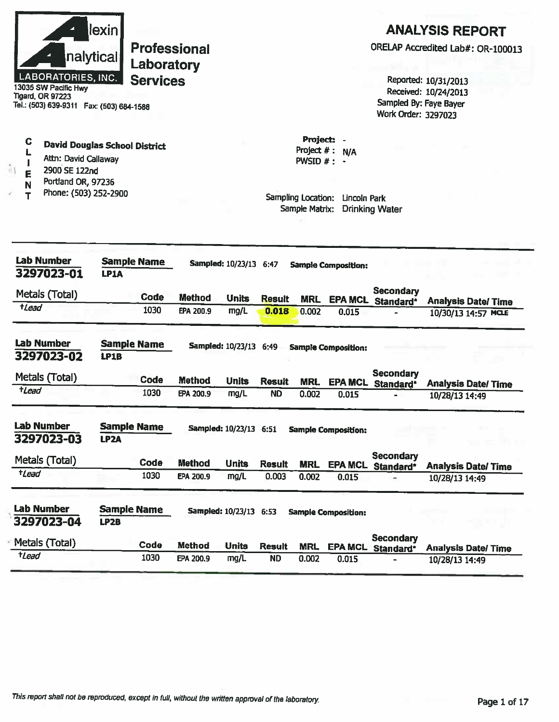| nalytical<br><b>LABORATORIES, INC.</b><br>13035 SW Pacific Hwy<br><b>Tigard, OR 97223</b><br>Tel.: (503) 639-9311  Fax: (503) 684-1588 | lexin                                   | <b>Professional</b><br>Laboratory<br><b>Services</b> |                            |                                                |                            |                                              |                                                                  | Sampled By: Faye Bayer<br>Work Order: 3297023 | <b>ANALYSIS REPORT</b><br>Reported: 10/31/2013<br>Received: 10/24/2013 | ORELAP Accredited Lab#: OR-100013                |
|----------------------------------------------------------------------------------------------------------------------------------------|-----------------------------------------|------------------------------------------------------|----------------------------|------------------------------------------------|----------------------------|----------------------------------------------|------------------------------------------------------------------|-----------------------------------------------|------------------------------------------------------------------------|--------------------------------------------------|
| $\mathbf C$<br>Ł<br>Attn: David Callaway<br>åţ<br>2900 SE 122nd<br>E<br>Portland OR, 97236<br>N<br>Phone: (503) 252-2900               | <b>David Douglas School District</b>    |                                                      |                            |                                                |                            | Project: -<br>Project #: N/A<br>PWSID $#: -$ | Sampling Location: Lincoln Park<br>Sample Matrix: Drinking Water |                                               |                                                                        |                                                  |
| <b>Lab Number</b><br>3297023-01<br>Metals (Total)<br>$t$ <i>Lead</i>                                                                   | <b>Sample Name</b><br>LP1A              | Code<br>1030                                         | <b>Method</b><br>EPA 200.9 | Sampled: 10/23/13 6:47<br><b>Units</b><br>mg/L | <b>Result</b><br>0.018     | <b>MRL</b><br>0.002                          | <b>Sample Composition:</b><br>0.015                              | <b>Secondary</b><br>EPA MCL Standard*         |                                                                        | <b>Analysis Date/Time</b><br>10/30/13 14:57 MCLE |
|                                                                                                                                        |                                         |                                                      |                            |                                                |                            |                                              |                                                                  |                                               |                                                                        |                                                  |
| <b>Lab Number</b><br>3297023-02                                                                                                        | <b>Sample Name</b><br>LP1B              |                                                      |                            | Sampled: 10/23/13 6:49                         |                            |                                              | <b>Sample Composition:</b>                                       |                                               |                                                                        |                                                  |
| Metals (Total)                                                                                                                         |                                         | Code                                                 |                            |                                                |                            |                                              |                                                                  | <b>Secondary</b>                              |                                                                        |                                                  |
| $t$ Lead                                                                                                                               |                                         | 1030                                                 | <b>Method</b><br>EPA 200.9 | <b>Units</b><br>mg/L                           | <b>Result</b><br><b>ND</b> | <b>MRL</b><br>0.002                          | 0.015                                                            | EPA MCL Standard*                             | 10/28/13 14:49                                                         | <b>Analysis Date/Time</b>                        |
| Lab Number<br>3297023-03                                                                                                               | <b>Sample Name</b><br>LP <sub>2</sub> A |                                                      |                            | Sampled: 10/23/13 6:51                         |                            |                                              | <b>Sample Composition:</b>                                       |                                               |                                                                        |                                                  |
|                                                                                                                                        |                                         | Code                                                 | <b>Method</b>              | <b>Units</b>                                   | <b>Result</b>              | <b>MRL</b>                                   | <b>EPA MCL</b>                                                   | <b>Secondary</b><br>Standard*                 |                                                                        | <b>Analysis Date/Time</b>                        |
| $t$ Lead                                                                                                                               |                                         | 1030                                                 | EPA 200.9                  | mg/L                                           | 0.003                      | 0.002                                        | 0.015                                                            |                                               | 10/28/13 14:49                                                         |                                                  |
|                                                                                                                                        | <b>Sample Name</b><br>LP <sub>2</sub> B |                                                      |                            | Sampled: 10/23/13 6:53                         |                            |                                              | <b>Sample Composition:</b>                                       |                                               |                                                                        |                                                  |
| Metals (Total)<br><b>Lab Number</b><br>3297023-04<br>Metals (Total)                                                                    |                                         | Code                                                 | <b>Method</b>              | <b>Units</b>                                   | <b>Result</b>              | <b>MRL</b>                                   | <b>EPA MCL</b>                                                   | <b>Secondary</b><br>Standard*                 |                                                                        | <b>Analysis Date/ Time</b>                       |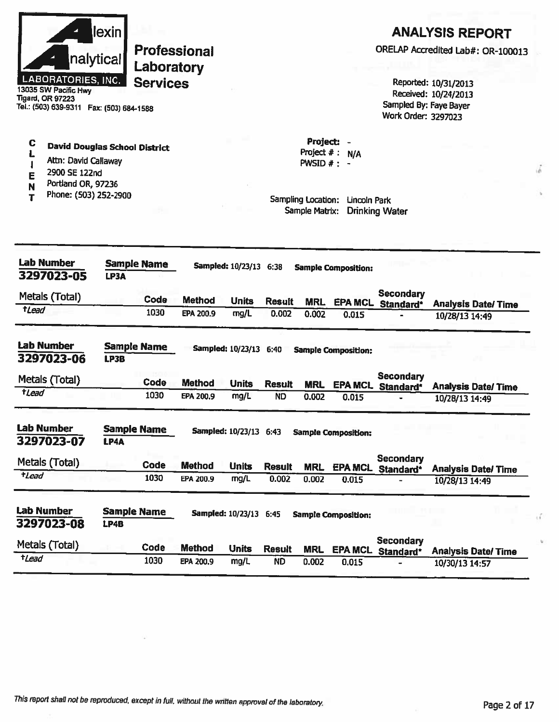

13035 SW Pacific Hwy **Tigard, OR 97223** Tel.: (503) 639-9311 Fax: (503) 684-1588

#### $\mathbf C$ **David Douglas School District**  $\mathbf{L}$

- Attn: David Callaway  $\pmb{\mathsf{l}}$
- 2900 SE 122nd E
- Portland OR, 97236 N
- Phone: (503) 252-2900 T

## **ANALYSIS REPORT**

ORELAP Accredited Lab#: OR-100013

Reported: 10/31/2013 Received: 10/24/2013 Sampled By: Faye Bayer Work Order: 3297023

Project: -Project  $# : N/A$ PWSID  $#$  : -

| <b>Lab Number</b><br><b>Sample Name</b><br>3297023-05<br>LP3A |             |                    | <b>Sampled: 10/23/13 6:38</b> | <b>Sample Composition:</b> |               |            |                            |                               |                           |  |
|---------------------------------------------------------------|-------------|--------------------|-------------------------------|----------------------------|---------------|------------|----------------------------|-------------------------------|---------------------------|--|
| Metals (Total)                                                |             | Code               | <b>Method</b>                 | <b>Units</b>               | <b>Result</b> | <b>MRL</b> | <b>EPA MCL</b>             | <b>Secondary</b><br>Standard* | <b>Analysis Date/Time</b> |  |
| <i>t</i> Lead                                                 |             | 1030               | EPA 200.9                     | mg/L                       | 0.002         | 0.002      | 0.015                      |                               | 10/28/13 14:49            |  |
| <b>Lab Number</b><br>3297023-06                               | LP3B        | <b>Sample Name</b> |                               | <b>Sampled: 10/23/13</b>   | 6:40          |            | <b>Sample Composition:</b> |                               |                           |  |
| Metals (Total)                                                |             | Code               | <b>Method</b>                 | <b>Units</b>               | <b>Result</b> | <b>MRL</b> | <b>EPA MCL</b>             | Secondary<br>Standard*        | <b>Analysis Date/Time</b> |  |
| <i><b>tLead</b></i>                                           |             | 1030               | EPA 200.9                     | mg/L                       | <b>ND</b>     | 0.002      | 0.015                      |                               | 10/28/13 14:49            |  |
| <b>Lab Number</b><br>3297023-07                               | <b>LP4A</b> | <b>Sample Name</b> |                               | Sampled: 10/23/13 6:43     |               |            | <b>Sample Composition:</b> |                               |                           |  |
| Metals (Total)                                                |             | Code               | <b>Method</b>                 | <b>Units</b>               | <b>Result</b> | <b>MRL</b> | <b>EPA MCL</b>             | <b>Secondary</b><br>Standard* | <b>Analysis Date/Time</b> |  |
| <i><b>tLead</b></i>                                           |             | 1030               | EPA 200.9                     | mg/L                       | 0.002         | 0.002      | 0.015                      |                               | 10/28/13 14:49            |  |
| <b>Lab Number</b><br>3297023-08                               | LP4B        | Sample Name        |                               | <b>Sampled: 10/23/13</b>   | 6:45          |            | <b>Sample Composition:</b> |                               |                           |  |
| Metals (Total)                                                |             | Code               | <b>Method</b>                 | <b>Units</b>               | <b>Result</b> | <b>MRL</b> | <b>EPA MCL</b>             | Secondary<br>Standard*        | <b>Analysis Date/Time</b> |  |
| tLead                                                         |             | 1030               | EPA 200.9                     | mg/L                       | <b>ND</b>     | 0.002      | 0.015                      |                               | 10/30/13 14:57            |  |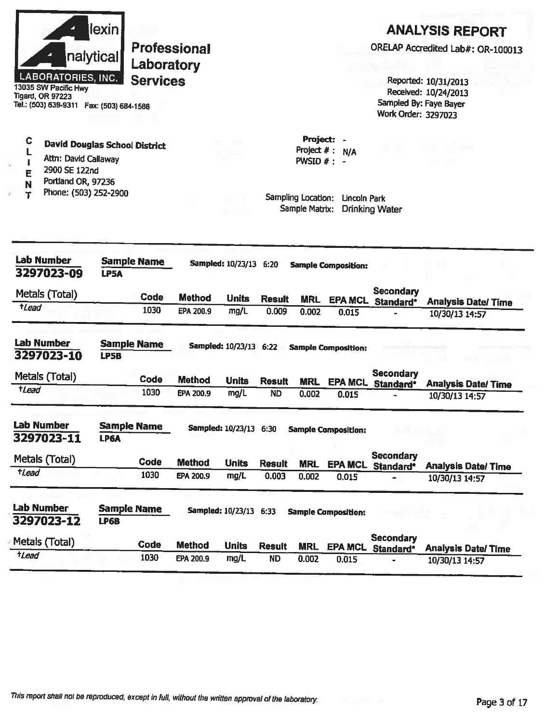

C

L

 $\mathbf{I}$ 

E

 $\mathbf N$ 

Ť

**Professional** Laboratory **Services** 

13035 SW Pacific Hwy<br>Tigard, OR 97223 Tel.: (503) 639-9311 Fax: (503) 684-1588

Attn: David Callaway

Portland OR, 97236

Phone: (503) 252-2900

2900 SE 122nd

**David Douglas School District** 

## **ANALYSIS REPORT**

ORELAP Accredited Lab#: OR-100013

Reported: 10/31/2013 Received: 10/24/2013 Sampled By: Faye Bayer Work Order: 3297023

Project: -Project  $# : N/A$ PWSID  $#: -$ 

| <b>Lab Number</b><br>3297023-09 | LP5A                              | <b>Sample Name</b> |               | <b>Sampled: 10/23/13</b> | 6:20          |            | <b>Sample Composition:</b> |                               |                           |
|---------------------------------|-----------------------------------|--------------------|---------------|--------------------------|---------------|------------|----------------------------|-------------------------------|---------------------------|
| Metals (Total)                  |                                   | Code               | <b>Method</b> | <b>Units</b>             | <b>Result</b> | <b>MRL</b> | <b>EPA MCL</b>             | <b>Secondary</b><br>Standard* | <b>Analysis Date/Time</b> |
| +Lead                           |                                   | 1030               | EPA 200.9     | mg/L                     | 0.009         | 0.002      | 0.015                      |                               | 10/30/13 14:57            |
| Lab Number<br>3297023-10        | <b>Sample Name</b><br><b>LP5B</b> |                    |               | Sampled: 10/23/13 6:22   |               |            | <b>Sample Composition:</b> |                               |                           |
| Metals (Total)                  |                                   | Code               | <b>Method</b> | <b>Units</b>             | <b>Result</b> | <b>MRL</b> | <b>EPA MCL</b>             | <b>Secondary</b><br>Standard* | <b>Analysis Date/Time</b> |
| $t$ <i>Lead</i>                 |                                   | 1030               | EPA 200.9     | mg/L                     | <b>ND</b>     | 0.002      | 0.015                      |                               | 10/30/13 14:57            |
| <b>Lab Number</b><br>3297023-11 | <b>Sample Name</b><br>LP6A        |                    |               | Sampled: 10/23/13 6:30   |               |            | <b>Sample Composition:</b> |                               |                           |
| Metals (Total)                  |                                   | Code               | <b>Method</b> | <b>Units</b>             | <b>Result</b> | <b>MRL</b> | <b>EPA MCL</b>             | <b>Secondary</b><br>Standard* | <b>Analysis Date/Time</b> |
| <i>t</i> Lead                   |                                   | 1030               | EPA 200.9     | mg/L                     | 0.003         | 0.002      | 0.015                      |                               | 10/30/13 14:57            |
| <b>Lab Number</b><br>3297023-12 | <b>Sample Name</b><br><b>LP6B</b> |                    |               | <b>Sampled: 10/23/13</b> | 6:33          |            | <b>Sample Composition:</b> |                               |                           |
| Metals (Total)                  |                                   | <b>Code</b>        | <b>Method</b> | <b>Units</b>             | <b>Result</b> | <b>MRL</b> | <b>EPA MCL</b>             | Secondary<br>Standard*        | <b>Analysis Date/Time</b> |
| <i>tLead</i>                    |                                   | 1030               | EPA 200.9     | mg/L                     | <b>ND</b>     | 0.002      | 0.015                      |                               | 10/30/13 14:57            |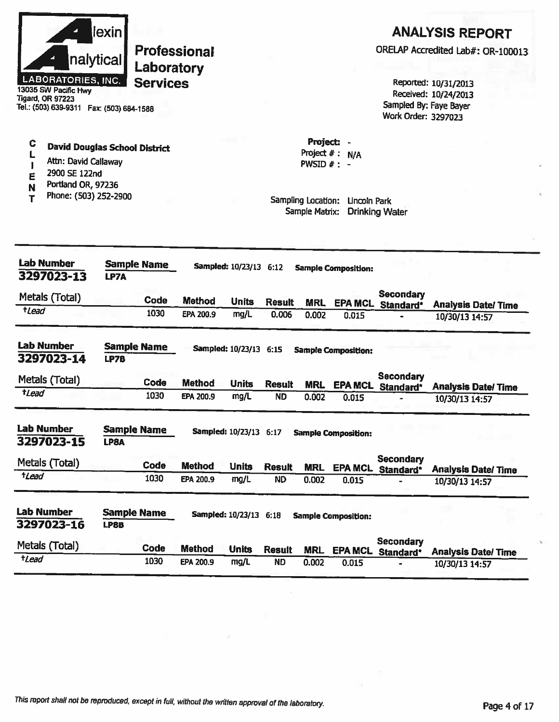

13035 SW Pacific Hwy **Tigard, OR 97223** Tel.: (503) 639-9311 Fax: (503) 684-1588

#### C **David Douglas School District**  $\mathsf{L}% _{0}\!\left( \mathcal{L}_{0}\right) ^{T}=\mathsf{L}_{0}\!\left( \mathcal{L}_{0}\right) ^{T}\!\left( \mathcal{L}_{0}\right) ^{T}$

- Attn: David Callaway  $\mathbf{I}$
- 2900 SE 122nd E
- Portland OR, 97236 N
- Phone: (503) 252-2900 T

## **ANALYSIS REPORT**

ORELAP Accredited Lab#: OR-100013

Reported: 10/31/2013 Received: 10/24/2013 Sampled By: Faye Bayer Work Order: 3297023

Project: -Project  $# : N/A$ PWSID  $#: -$ 

| <b>Lab Number</b><br>3297023-13 | <b>Sample Name</b><br>LP7A        |      |               | Sampled: 10/23/13 6:12   |               |            | <b>Sample Composition:</b> |                               |                           |
|---------------------------------|-----------------------------------|------|---------------|--------------------------|---------------|------------|----------------------------|-------------------------------|---------------------------|
| Metals (Total)                  |                                   | Code | <b>Method</b> | <b>Units</b>             | <b>Result</b> | <b>MRL</b> | <b>EPA MCL</b>             | <b>Secondary</b><br>Standard* | <b>Analysis Date/Time</b> |
| $t$ <i>Lead</i>                 |                                   | 1030 | EPA 200.9     | mg/L                     | 0.006         | 0.002      | 0.015                      |                               | 10/30/13 14:57            |
| <b>Lab Number</b><br>3297023-14 | <b>Sample Name</b><br>LP7B        |      |               | <b>Sampled: 10/23/13</b> | 6:15          |            | <b>Sample Composition:</b> |                               |                           |
| Metals (Total)                  |                                   | Code | <b>Method</b> | <b>Units</b>             | <b>Result</b> | <b>MRL</b> | <b>EPA MCL</b>             | <b>Secondary</b><br>Standard* | <b>Analysis Date/Time</b> |
| <b>tLead</b>                    |                                   | 1030 | EPA 200.9     | mg/L                     | <b>ND</b>     | 0.002      | 0.015                      |                               | 10/30/13 14:57            |
| <b>Lab Number</b><br>3297023-15 | <b>Sample Name</b><br>LP8A        |      |               | Sampled: 10/23/13 6:17   |               |            | <b>Sample Composition:</b> |                               |                           |
| Metals (Total)                  |                                   | Code | <b>Method</b> | <b>Units</b>             | <b>Result</b> | <b>MRL</b> | <b>EPA MCL</b>             | Secondary<br>Standard*        | <b>Analysis Date/Time</b> |
| <i><b>tLead</b></i>             |                                   | 1030 | EPA 200.9     | mg/L                     | <b>ND</b>     | 0.002      | 0.015                      |                               | 10/30/13 14:57            |
| <b>Lab Number</b><br>3297023-16 | <b>Sample Name</b><br><b>LP8B</b> |      |               | <b>Sampled: 10/23/13</b> | 6.18          |            | <b>Sample Composition:</b> |                               |                           |
| Metals (Total)                  |                                   | Code | <b>Method</b> | <b>Units</b>             | <b>Result</b> | <b>MRL</b> | <b>EPA MCL</b>             | Secondary<br>Standard*        | <b>Analysis Date/Time</b> |
| tLead                           |                                   | 1030 | EPA 200.9     | mg/L                     | <b>ND</b>     | 0.002      | 0.015                      |                               | 10/30/13 14:57            |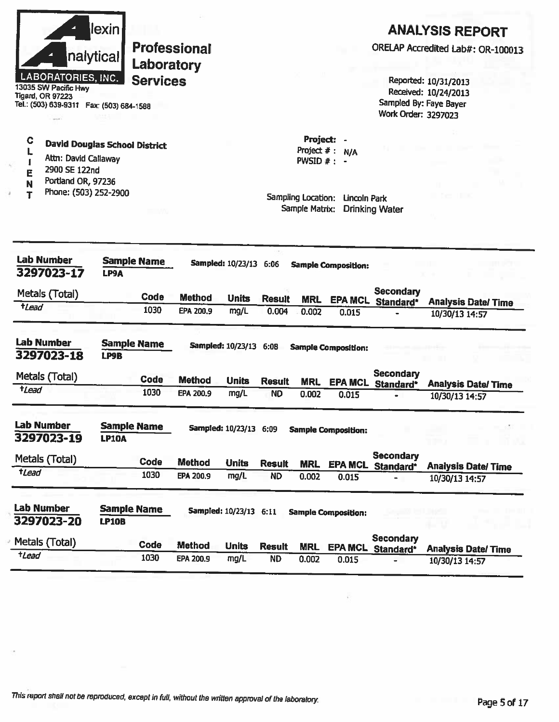| <b>Lab Number</b><br>3297023-20<br>Metals (Total)<br>$t$ <i>Lead</i>                         | <b>LP10B</b> | <b>Sample Name</b><br>Code<br>1030 | <b>Method</b><br>EPA 200.9 | Sampled: 10/23/13 6:11<br><b>Units</b><br>mg/L | <b>Result</b><br><b>ND</b> | <b>MRL</b><br>0.002                  | <b>Sample Composition:</b><br><b>EPA MCL</b> | <b>Secondary</b><br>Standard*                 | <b>Analysis Date/Time</b>         |
|----------------------------------------------------------------------------------------------|--------------|------------------------------------|----------------------------|------------------------------------------------|----------------------------|--------------------------------------|----------------------------------------------|-----------------------------------------------|-----------------------------------|
|                                                                                              |              |                                    |                            |                                                |                            |                                      |                                              |                                               |                                   |
|                                                                                              |              |                                    |                            |                                                |                            |                                      |                                              |                                               |                                   |
|                                                                                              |              |                                    |                            |                                                |                            |                                      |                                              |                                               | 10/30/13 14:57                    |
| tLead                                                                                        |              | 1030                               | EPA 200.9                  | mg/L                                           | <b>ND</b>                  | <b>MRL</b><br>0.002                  | 0.015                                        | <b>EPA MCL Standard*</b>                      | <b>Analysis Date/Time</b>         |
| Metals (Total)                                                                               |              | Code                               | <b>Method</b>              | <b>Units</b>                                   | <b>Result</b>              |                                      |                                              | <b>Secondary</b>                              |                                   |
| 3297023-19                                                                                   | <b>LP10A</b> |                                    |                            |                                                |                            |                                      |                                              |                                               |                                   |
| <b>Lab Number</b>                                                                            |              | <b>Sample Name</b>                 |                            | Sampled: 10/23/13 6:09                         |                            |                                      | <b>Sample Composition:</b>                   |                                               | - 3                               |
| $t$ Lead                                                                                     |              | 1030                               | EPA 200.9                  | mg/L                                           | <b>ND</b>                  | 0.002                                | 0.015                                        |                                               | 10/30/13 14:57                    |
| Metals (Total)                                                                               |              | Code                               | <b>Method</b>              | <b>Units</b>                                   | <b>Result</b>              | <b>MRL</b>                           |                                              | <b>Secondary</b><br><b>EPA MCL Standard*</b>  | <b>Analysis Date/Time</b>         |
| <b>Lab Number</b><br>3297023-18                                                              | <b>LP9B</b>  | <b>Sample Name</b>                 |                            | Sampled: 10/23/13 6:08                         |                            |                                      | <b>Sample Composition:</b>                   |                                               |                                   |
|                                                                                              |              | 1030                               | EPA 200.9                  | mg/L                                           | 0.004                      | 0.002                                | 0.015                                        |                                               | 10/30/13 14:57                    |
| Metals (Total)<br>$t$ <i>Lead</i>                                                            |              | Code                               | <b>Method</b>              | <b>Units</b>                                   | <b>Result</b>              | <b>MRL</b>                           |                                              | <b>Secondary</b><br>EPA MCL Standard*         | <b>Analysis Date/Time</b>         |
| <b>Lab Number</b><br>3297023-17                                                              | LP9A         | <b>Sample Name</b>                 |                            | Sampled: 10/23/13 6:06                         |                            |                                      | <b>Sample Composition:</b>                   |                                               |                                   |
| Phone: (503) 252-2900                                                                        |              |                                    |                            |                                                |                            | Sampling Location:<br>Sample Matrix: | <b>Lincoln Park</b>                          | <b>Drinking Water</b>                         |                                   |
| 2900 SE 122nd<br>E<br>Portland OR, 97236<br>N                                                |              |                                    |                            |                                                |                            |                                      |                                              |                                               |                                   |
| C<br><b>David Douglas School District</b><br>Attn: David Callaway                            |              |                                    |                            |                                                |                            | Project: -<br>PWSID $# : -$          | Project $#: N/A$                             |                                               |                                   |
| 13035 SW Pacific Hwy<br><b>Tigard, OR 97223</b><br>Tel.: (503) 639-9311  Fax: (503) 684-1588 |              |                                    |                            |                                                |                            |                                      |                                              | Sampled By: Faye Bayer<br>Work Order: 3297023 | Received: 10/24/2013              |
| <b>LABORATORIES, INC.</b>                                                                    |              | Laboratory<br><b>Services</b>      |                            |                                                |                            |                                      |                                              |                                               | Reported: 10/31/2013              |
|                                                                                              | nalytical    |                                    | <b>Professional</b>        |                                                |                            |                                      |                                              |                                               | ORELAP Accredited Lab#: OR-100013 |
|                                                                                              |              |                                    |                            |                                                |                            |                                      |                                              | <b>ANALYSIS REPORT</b>                        |                                   |

ä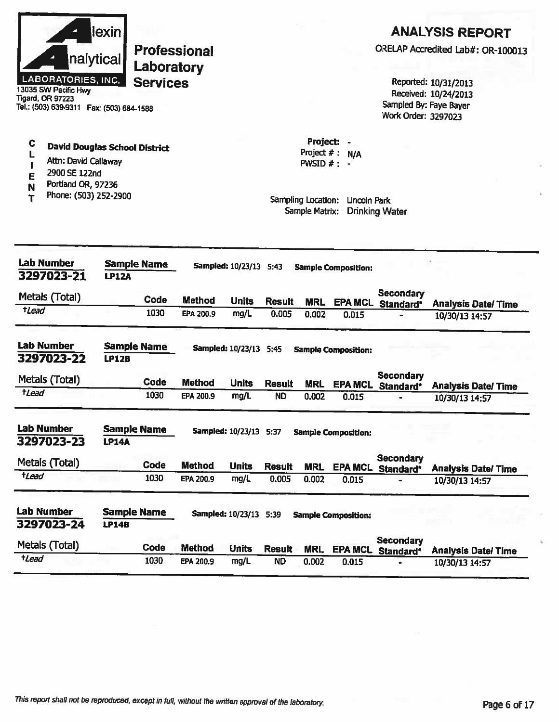|                       | nalytical<br>LABORATORIES, INC.<br>13035 SW Pacific Hwy<br><b>Tigard, OR 97223</b><br>Tel.: (503) 639-9311  Fax: (503) 684-1588 | lexin        | Laboratory<br><b>Services</b> | <b>Professional</b> |                        |               |                                                                    |                                  | Work Order: 3297023                          | <b>ANALYSIS REPORT</b><br>ORELAP Accredited Lab#: OR-100013<br>Reported: 10/31/2013<br>Received: 10/24/2013<br>Sampled By: Faye Bayer |
|-----------------------|---------------------------------------------------------------------------------------------------------------------------------|--------------|-------------------------------|---------------------|------------------------|---------------|--------------------------------------------------------------------|----------------------------------|----------------------------------------------|---------------------------------------------------------------------------------------------------------------------------------------|
| C<br>L<br>E<br>N<br>т | <b>David Douglas School District</b><br>Attn: David Callaway<br>2900 SE 122nd<br>Portland OR, 97236<br>Phone: (503) 252-2900    |              |                               |                     |                        |               | Project: -<br>PWSID $#: -$<br>Sampling Location:<br>Sample Matrix: | Project $#: N/A$<br>Lincoln Park | <b>Drinking Water</b>                        |                                                                                                                                       |
|                       | <b>Lab Number</b><br>3297023-21                                                                                                 | <b>LP12A</b> | <b>Sample Name</b>            |                     | Sampled: 10/23/13 5:43 |               |                                                                    | <b>Sample Composition:</b>       |                                              |                                                                                                                                       |
| $t$ <i>Lead</i>       | Metals (Total)                                                                                                                  |              | Code<br>1030                  | <b>Method</b>       | <b>Units</b>           | <b>Result</b> | <b>MRL</b>                                                         | <b>EPA MCL</b>                   | <b>Secondary</b><br>Standard*                | <b>Analysis Date/Time</b>                                                                                                             |
|                       |                                                                                                                                 |              |                               | EPA 200.9           | mg/L                   | 0.005         | 0.002                                                              | 0.015                            |                                              | 10/30/13 14:57                                                                                                                        |
|                       | <b>Lab Number</b><br>3297023-22                                                                                                 | <b>LP12B</b> | <b>Sample Name</b>            |                     | Sampled: 10/23/13 5:45 |               |                                                                    | <b>Sample Composition:</b>       |                                              |                                                                                                                                       |
|                       | Metals (Total)                                                                                                                  |              | <b>Code</b>                   | <b>Method</b>       | <b>Units</b>           | <b>Result</b> | <b>MRL</b>                                                         |                                  | <b>Secondary</b><br><b>EPA MCL Standard*</b> | <b>Analysis Date/Time</b>                                                                                                             |
| $t$ <i>Lead</i>       |                                                                                                                                 |              | 1030                          | <b>EPA 200.9</b>    | mg/L                   | <b>ND</b>     | 0.002                                                              | 0.015                            |                                              | 10/30/13 14:57                                                                                                                        |
|                       | <b>Lab Number</b><br>3297023-23                                                                                                 | <b>LP14A</b> | <b>Sample Name</b>            |                     | Sampled: 10/23/13 5:37 |               |                                                                    | <b>Sample Composition:</b>       |                                              |                                                                                                                                       |
|                       | Metals (Total)                                                                                                                  |              | Code                          | <b>Method</b>       | <b>Units</b>           | <b>Result</b> | <b>MRL</b>                                                         | <b>EPA MCL</b>                   | <b>Secondary</b>                             |                                                                                                                                       |
| $t$ <i>Lead</i>       |                                                                                                                                 |              | 1030                          | EPA 200.9           | mg/L                   | 0.005         | 0.002                                                              | 0.015                            | Standard*                                    | <b>Analysis Date/ Time</b><br>10/30/13 14:57                                                                                          |
|                       | <b>Lab Number</b><br>3297023-24                                                                                                 | <b>LP14B</b> | <b>Sample Name</b>            |                     | Sampled: 10/23/13 5:39 |               |                                                                    | <b>Sample Composition:</b>       |                                              |                                                                                                                                       |
|                       | Metals (Total)                                                                                                                  |              | Code                          | <b>Method</b>       | <b>Units</b>           | <b>Result</b> | <b>MRL</b>                                                         | <b>EPA MCL</b>                   | <b>Secondary</b><br>Standard*                | <b>Analysis Date/Time</b>                                                                                                             |
| $t$ <i>Lead</i>       |                                                                                                                                 |              | 1030                          | EPA 200.9           | mg/L                   | <b>ND</b>     | 0.002                                                              | 0.015                            | $\blacksquare$                               | 10/30/13 14:57                                                                                                                        |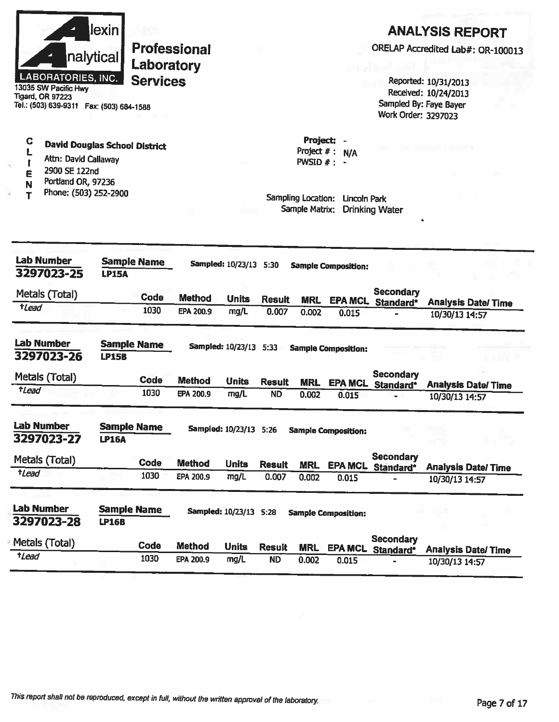| nalytical<br><b>LABORATORIES, INC.</b><br>13035 SW Pacific Hwy<br><b>Tigard, OR 97223</b><br>Tel.: (503) 639-9311  Fax: (503) 684-1588 | lexin                              | Laboratory<br><b>Services</b> | <b>Professional</b> |                        |               |                                                   |                            | Work Order: 3297023            | <b>ANALYSIS REPORT</b><br>ORELAP Accredited Lab#: OR-100013<br>Reported: 10/31/2013<br>Received: 10/24/2013<br>Sampled By: Faye Bayer |
|----------------------------------------------------------------------------------------------------------------------------------------|------------------------------------|-------------------------------|---------------------|------------------------|---------------|---------------------------------------------------|----------------------------|--------------------------------|---------------------------------------------------------------------------------------------------------------------------------------|
| С<br><b>David Douglas School District</b><br>Attn: David Callaway<br>$\gamma$<br>2900 SE 122nd<br>Ε<br>Portland OR, 97236              |                                    |                               |                     |                        |               | <b>Project:</b><br>Project $#$ :<br>PWSID $#$ : - | N/A                        |                                |                                                                                                                                       |
| Phone: (503) 252-2900                                                                                                                  |                                    |                               |                     |                        |               | Sampling Location:<br>Sample Matrix:              | Lincoln Park               | <b>Drinking Water</b>          |                                                                                                                                       |
| <b>Lab Number</b>                                                                                                                      | <b>Sample Name</b>                 |                               |                     | Sampled: 10/23/13 5:30 |               |                                                   | <b>Sample Composition:</b> |                                |                                                                                                                                       |
| 3297023-25                                                                                                                             | <b>LP15A</b>                       |                               |                     |                        |               |                                                   |                            |                                |                                                                                                                                       |
| Metals (Total)<br>$t$ <i>Lead</i>                                                                                                      |                                    | Code                          | <b>Method</b>       | <b>Units</b>           | <b>Result</b> | <b>MRL</b>                                        |                            | Secondary<br>EPA MCL Standard* | <b>Analysis Date/Time</b>                                                                                                             |
|                                                                                                                                        |                                    | 1030                          | EPA 200.9           | mg/L                   | 0.007         | 0.002                                             | 0.015                      |                                | 10/30/13 14:57                                                                                                                        |
| <b>Lab Number</b><br>3297023-26                                                                                                        | <b>Sample Name</b><br><b>LP15B</b> |                               |                     | Sampled: 10/23/13 5:33 |               |                                                   | <b>Sample Composition:</b> |                                |                                                                                                                                       |
| Metals (Total)                                                                                                                         |                                    | Code                          | <b>Method</b>       | <b>Units</b>           | <b>Result</b> | <b>MRL</b>                                        |                            | Secondary                      |                                                                                                                                       |
| tLead                                                                                                                                  |                                    | 1030                          | <b>EPA 200.9</b>    | mg/L                   | <b>ND</b>     | 0.002                                             | 0.015                      | EPA MCL Standard*              | <b>Analysis Date/Time</b><br>10/30/13 14:57                                                                                           |
| <b>Lab Number</b><br>3297023-27                                                                                                        | <b>Sample Name</b><br><b>LP16A</b> |                               |                     | Sampled: 10/23/13 5:26 |               |                                                   | <b>Sample Composition:</b> |                                |                                                                                                                                       |
| Metals (Total)                                                                                                                         |                                    | Code                          | <b>Method</b>       | <b>Units</b>           | <b>Result</b> | <b>MRL</b>                                        | <b>EPA MCL</b>             | <b>Secondary</b>               |                                                                                                                                       |
| tLead                                                                                                                                  |                                    | 1030                          | EPA 200.9           | mg/L                   | 0.007         | 0.002                                             | 0.015                      | Standard*                      | <b>Analysis Date/ Time</b><br>10/30/13 14:57                                                                                          |
| <b>Lab Number</b><br>3297023-28                                                                                                        | <b>Sample Name</b><br><b>LP16B</b> |                               |                     | Sampled: 10/23/13 5:28 |               |                                                   | <b>Sample Composition:</b> |                                |                                                                                                                                       |
| Metals (Total)                                                                                                                         |                                    |                               |                     |                        |               |                                                   |                            | <b>Secondary</b>               |                                                                                                                                       |
|                                                                                                                                        |                                    | Code                          | <b>Method</b>       | <b>Units</b>           | <b>Result</b> | <b>MRL</b>                                        | <b>EPA MCL</b>             | Standard*                      | <b>Analysis Date/Time</b>                                                                                                             |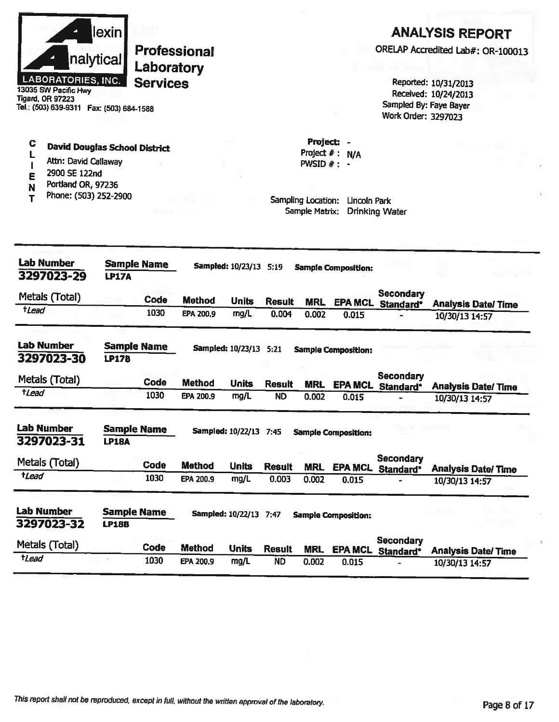| llexin <b>I</b>           |
|---------------------------|
| nalytical                 |
| <b>LABORATORIES, INC.</b> |

13035 SW Pacific Hwy **Tigard, OR 97223** Tel.: (503) 639-9311 Fax: (503) 684-1588

#### $\mathbf C$ **David Douglas School District** L

- Attn: David Callaway  $\mathbf{I}$
- 2900 SE 122nd E
- Portland OR, 97236 N
- Phone: (503) 252-2900  $\overline{\mathbf{r}}$

### **ANALYSIS REPORT**

ORELAP Accredited Lab#: OR-100013

Reported: 10/31/2013 Received: 10/24/2013 Sampled By: Faye Bayer Work Order: 3297023

Project: -Project  $# : N/A$ PWSID  $#: -$ 

| <b>Lab Number</b><br>3297023-29 | <b>LP17A</b>                       | <b>Sample Name</b> | Sampled: 10/23/13 5:19 |                          |               | <b>Sample Composition:</b> |                            |                               |                           |  |
|---------------------------------|------------------------------------|--------------------|------------------------|--------------------------|---------------|----------------------------|----------------------------|-------------------------------|---------------------------|--|
| Metals (Total)                  |                                    | Code               | <b>Method</b>          | <b>Units</b>             | <b>Result</b> | <b>MRL</b>                 | <b>EPA MCL</b>             | <b>Secondary</b><br>Standard* | <b>Analysis Date/Time</b> |  |
| tLead                           |                                    | 1030               | EPA 200.9              | mg/L                     | 0.004         | 0.002                      | 0.015                      |                               | 10/30/13 14:57            |  |
| <b>Lab Number</b><br>3297023-30 | Sample Name<br><b>LP17B</b>        |                    |                        | <b>Sampled: 10/23/13</b> | 5:21          |                            | <b>Sample Composition:</b> |                               |                           |  |
| Metals (Total)                  |                                    | Code               | Method                 | <b>Units</b>             | <b>Result</b> | <b>MRL</b>                 | <b>EPA MCL</b>             | Secondary<br>Standard*        | <b>Analysis Date/Time</b> |  |
| <b>tLead</b>                    |                                    | 1030               | EPA 200.9              | mg/L                     | <b>ND</b>     | 0.002                      | 0.015                      |                               | 10/30/13 14:57            |  |
| <b>Lab Number</b><br>3297023-31 | <b>Sample Name</b><br><b>LP18A</b> |                    |                        | Sampled: 10/22/13 7:45   |               |                            | <b>Sample Composition:</b> |                               |                           |  |
| Metals (Total)                  |                                    | Code               | <b>Method</b>          | <b>Units</b>             | <b>Result</b> | <b>MRL</b>                 | <b>EPA MCL</b>             | <b>Secondary</b><br>Standard* | <b>Analysis Date/Time</b> |  |
| <i><b>tLead</b></i>             |                                    | 1030               | EPA 200.9              | mg/L                     | 0.003         | 0.002                      | 0.015                      |                               | 10/30/13 14:57            |  |
| <b>Lab Number</b><br>3297023-32 | <b>Sample Name</b><br><b>LP18B</b> |                    |                        | Sampled: 10/22/13 7:47   |               |                            | <b>Sample Composition:</b> |                               |                           |  |
| Metals (Total)                  |                                    | Code               | <b>Method</b>          | <b>Units</b>             | <b>Result</b> | <b>MRL</b>                 | <b>EPA MCL</b>             | <b>Secondary</b><br>Standard* | <b>Analysis Date/Time</b> |  |
| tLead                           |                                    | 1030               | EPA 200.9              | mg/L                     | <b>ND</b>     | 0.002                      | 0.015                      |                               | 10/30/13 14:57            |  |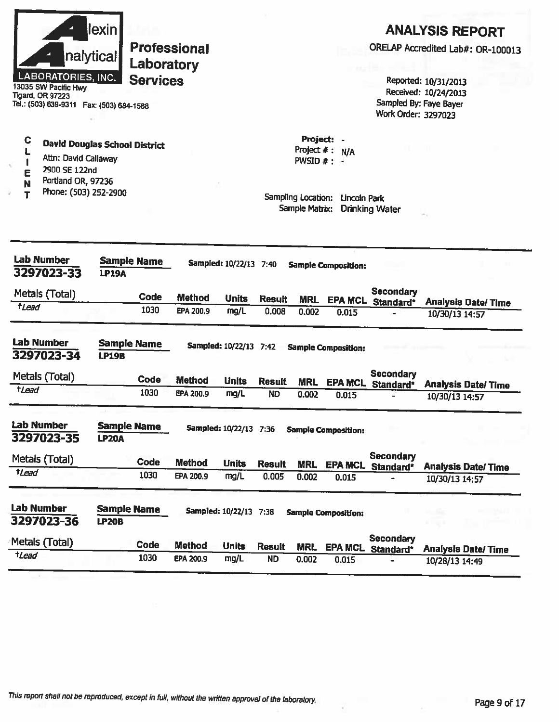| <b>LABORATORIES, INC.</b><br>13035 SW Pacific Hwy<br><b>Tigard, OR 97223</b><br>Tel.: (503) 639-9311  Fax: (503) 684-1588                         | lexin <br>nalytical                | Laboratory<br><b>Services</b> | <b>Professional</b> |                        |               |                                                                     |                                   | Work Order: 3297023                   | <b>ANALYSIS REPORT</b><br>ORELAP Accredited Lab#: OR-100013<br>Reported: 10/31/2013<br>Received: 10/24/2013<br>Sampled By: Faye Bayer |
|---------------------------------------------------------------------------------------------------------------------------------------------------|------------------------------------|-------------------------------|---------------------|------------------------|---------------|---------------------------------------------------------------------|-----------------------------------|---------------------------------------|---------------------------------------------------------------------------------------------------------------------------------------|
| C<br><b>David Douglas School District</b><br>Attn: David Callaway<br>Ą.<br>2900 SE 122nd<br>Е<br>Portland OR, 97236<br>Phone: (503) 252-2900<br>T |                                    |                               |                     |                        |               | Project #:<br>PWSID $#$ : -<br>Sampling Location:<br>Sample Matrix: | Project: -<br>N/A<br>Lincoln Park | <b>Drinking Water</b>                 |                                                                                                                                       |
| <b>Lab Number</b><br>3297023-33                                                                                                                   | <b>LP19A</b>                       | <b>Sample Name</b>            |                     | Sampled: 10/22/13 7:40 |               |                                                                     | <b>Sample Composition:</b>        |                                       |                                                                                                                                       |
| Metals (Total)<br>tLead                                                                                                                           |                                    | Code                          | <b>Method</b>       | <b>Units</b>           | <b>Result</b> | <b>MRL</b>                                                          |                                   | <b>Secondary</b><br>EPA MCL Standard* | <b>Analysis Date/Time</b>                                                                                                             |
|                                                                                                                                                   |                                    | 1030                          | EPA 200.9           | mg/L                   | 0.008         | 0.002                                                               | 0.015                             |                                       | 10/30/13 14:57                                                                                                                        |
| <b>Lab Number</b><br>3297023-34                                                                                                                   | <b>Sample Name</b><br><b>LP19B</b> |                               |                     | Sampled: 10/22/13 7:42 |               |                                                                     | <b>Sample Composition:</b>        |                                       |                                                                                                                                       |
| Metals (Total)                                                                                                                                    |                                    | <b>Code</b>                   | <b>Method</b>       | <b>Units</b>           | <b>Result</b> | <b>MRL</b>                                                          | <b>EPA MCL</b>                    | <b>Secondary</b><br>Standard*         | <b>Analysis Date/Time</b>                                                                                                             |
| $t$ Lead                                                                                                                                          |                                    | 1030                          | EPA 200.9           | mg/L                   | <b>ND</b>     | 0.002                                                               | 0.015                             |                                       | 10/30/13 14:57                                                                                                                        |
| Lab Number<br>3297023-35                                                                                                                          | <b>Sample Name</b><br><b>LP20A</b> |                               |                     | Sampled: 10/22/13 7:36 |               |                                                                     | <b>Sample Composition:</b>        |                                       |                                                                                                                                       |
| Metals (Total)                                                                                                                                    |                                    | Code                          | <b>Method</b>       | <b>Units</b>           | <b>Result</b> | <b>MRL</b>                                                          |                                   | <b>Secondary</b>                      |                                                                                                                                       |
| tLead                                                                                                                                             |                                    | 1030                          | EPA 200.9           | mg/L                   | 0.005         | 0.002                                                               | 0.015                             | EPA MCL Standard*                     | <b>Analysis Date/Time</b><br>10/30/13 14:57                                                                                           |
| <b>Lab Number</b><br>3297023-36                                                                                                                   | <b>Sample Name</b><br><b>LP20B</b> |                               |                     | Sampled: 10/22/13 7:38 |               |                                                                     | <b>Sample Composition:</b>        |                                       |                                                                                                                                       |
|                                                                                                                                                   |                                    |                               |                     |                        |               |                                                                     |                                   |                                       |                                                                                                                                       |
| Metals (Total)                                                                                                                                    |                                    | Code                          | <b>Method</b>       | <b>Units</b>           | <b>Result</b> | <b>MRL</b>                                                          | <b>EPA MCL</b>                    | <b>Secondary</b><br>Standard*         | <b>Analysis Date/Time</b>                                                                                                             |

R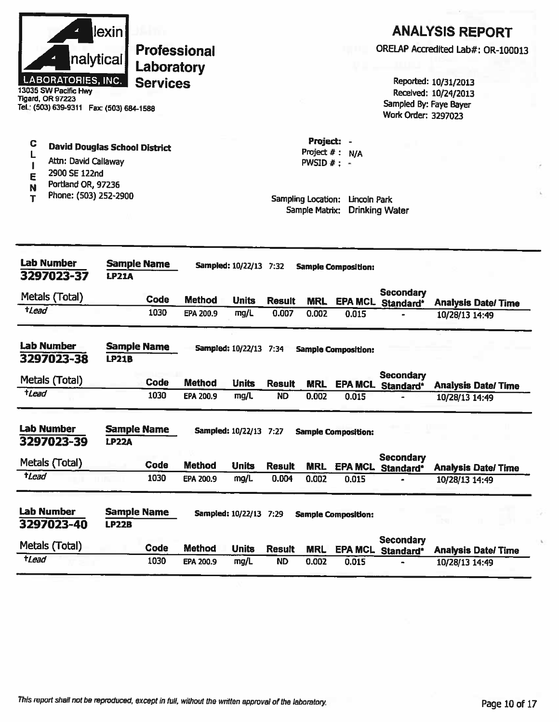|                 |                                                   | lexin        |                     |               |                        |                            |                                      |                            |                                       | <b>ANALYSIS REPORT</b>                      |  |
|-----------------|---------------------------------------------------|--------------|---------------------|---------------|------------------------|----------------------------|--------------------------------------|----------------------------|---------------------------------------|---------------------------------------------|--|
|                 |                                                   |              | <b>Professional</b> |               |                        |                            |                                      |                            | ORELAP Accredited Lab#: OR-100013     |                                             |  |
|                 |                                                   | nalytical    | Laboratory          |               |                        |                            |                                      |                            |                                       |                                             |  |
|                 | <b>LABORATORIES, INC.</b><br>13035 SW Pacific Hwy |              | <b>Services</b>     |               |                        |                            |                                      |                            |                                       | Reported: 10/31/2013                        |  |
|                 | <b>Tigard, OR 97223</b>                           |              |                     |               |                        |                            |                                      |                            | Sampled By: Faye Bayer                | Received: 10/24/2013                        |  |
|                 | Tel.: (503) 639-9311  Fax: (503) 684-1588         |              |                     |               |                        |                            |                                      |                            | Work Order: 3297023                   |                                             |  |
| C               | <b>David Douglas School District</b>              |              |                     |               |                        |                            | Project: -                           |                            |                                       |                                             |  |
|                 | Attn: David Callaway                              |              |                     |               |                        |                            | Project $#:$<br>PWSID $#$ : -        | N/A                        |                                       |                                             |  |
| E               | 2900 SE 122nd                                     |              |                     |               |                        |                            |                                      |                            |                                       |                                             |  |
| N               | Portland OR, 97236                                |              |                     |               |                        |                            |                                      |                            |                                       |                                             |  |
| т               | Phone: (503) 252-2900                             |              |                     |               |                        |                            | Sampling Location:<br>Sample Matrix: | Lincoln Park               | <b>Drinking Water</b>                 |                                             |  |
|                 |                                                   |              |                     |               |                        |                            |                                      |                            |                                       |                                             |  |
|                 |                                                   |              |                     |               |                        |                            |                                      |                            |                                       |                                             |  |
|                 | <b>Lab Number</b>                                 |              | <b>Sample Name</b>  |               | Sampled: 10/22/13 7:32 |                            |                                      | <b>Sample Composition:</b> |                                       |                                             |  |
|                 | 3297023-37                                        | <b>LP21A</b> |                     |               |                        |                            |                                      |                            |                                       |                                             |  |
|                 | Metals (Total)                                    |              | Code                | <b>Method</b> | <b>Units</b>           | <b>Result</b>              | <b>MRL</b>                           |                            | <b>Secondary</b><br>EPA MCL Standard* | <b>Analysis Date/Time</b>                   |  |
| $t$ Lead        |                                                   |              | 1030                | EPA 200.9     | mg/L                   | 0.007                      | 0.002                                | 0.015                      |                                       | 10/28/13 14:49                              |  |
|                 | <b>Lab Number</b>                                 |              | <b>Sample Name</b>  |               | Sampled: 10/22/13 7:34 |                            |                                      | <b>Sample Composition:</b> |                                       |                                             |  |
|                 | 3297023-38                                        | <b>LP21B</b> |                     |               |                        |                            |                                      |                            |                                       |                                             |  |
|                 | Metals (Total)                                    |              | Code                | <b>Method</b> |                        |                            |                                      |                            | <b>Secondary</b>                      |                                             |  |
| tLead           |                                                   |              | 1030                | EPA 200.9     | <b>Units</b><br>mg/L   | <b>Result</b><br><b>ND</b> | <b>MRL</b><br>0.002                  | <b>EPA MCL</b><br>0.015    | Standard*                             | <b>Analysis Date/Time</b><br>10/28/13 14:49 |  |
|                 |                                                   |              |                     |               |                        |                            |                                      |                            |                                       |                                             |  |
|                 | <b>Lab Number</b>                                 |              | <b>Sample Name</b>  |               | Sampled: 10/22/13 7:27 |                            |                                      | <b>Sample Composition:</b> |                                       |                                             |  |
|                 | 3297023-39                                        | <b>LP22A</b> |                     |               |                        |                            |                                      |                            |                                       |                                             |  |
|                 | Metals (Total)                                    |              | Code                | <b>Method</b> | <b>Units</b>           | <b>Result</b>              | <b>MRL</b>                           | <b>EPA MCL</b>             | <b>Secondary</b>                      | <b>Analysis Date/ Time</b>                  |  |
| $t$ <i>Lead</i> |                                                   |              | 1030                | EPA 200.9     | mg/L                   | 0.004                      | 0.002                                | 0.015                      | Standard*                             | 10/28/13 14:49                              |  |
|                 |                                                   |              |                     |               |                        |                            |                                      |                            |                                       |                                             |  |
|                 | <b>Lab Number</b><br>3297023-40                   | <b>LP22B</b> | <b>Sample Name</b>  |               | Sampled: 10/22/13 7:29 |                            |                                      | <b>Sample Composition:</b> |                                       |                                             |  |
|                 | Metals (Total)                                    |              | Code                | <b>Method</b> | <b>Units</b>           | <b>Result</b>              |                                      |                            | <b>Secondary</b>                      |                                             |  |
| $t$ <i>Lead</i> |                                                   |              | 1030                | EPA 200.9     | mg/L                   | <b>ND</b>                  | <b>MRL</b><br>0.002                  | <b>EPA MCL</b><br>0.015    | Standard*                             | <b>Analysis Date/Time</b><br>10/28/13 14:49 |  |
|                 |                                                   |              |                     |               |                        |                            |                                      |                            |                                       |                                             |  |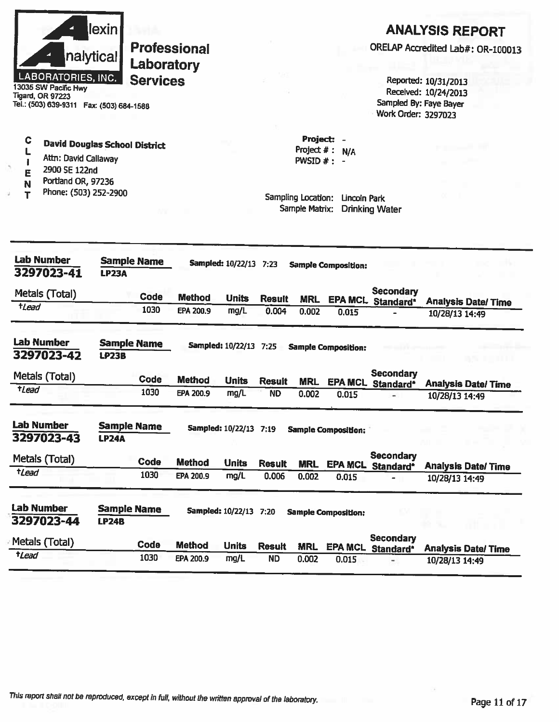

13035 SW Pacific Hwy **Tigard, OR 97223** Tel.: (503) 639-9311 Fax: (503) 684-1588

# **ANALYSIS REPORT**

ORELAP Accredited Lab#: OR-100013

Reported: 10/31/2013 Received: 10/24/2013 Sampled By: Faye Bayer Work Order: 3297023

C **David Douglas School District** 

- L Attn: David Callaway  $\mathbf{I}$
- 2900 SE 122nd F
- Portland OR, 97236 N
- Phone: (503) 252-2900 T

Sampling Location: Lincoln Park Sample Matrix: Drinking Water

Project: -

 $PWSID$ #:

Project  $#: N/A$ 

**Lab Number Sample Name** Sampled: 10/22/13 7:23 **Sample Composition:** 3297023-41 **LP23A Secondary** Metals (Total) Code **Method Units Result MRL EPA MCL** Standard\* **Analysis Date/Time**  $t$ *Lead* 1030 EPA 200.9  $mq/L$  $0.004$  $0.002$  $0.015$ 10/28/13 14:49 **Lab Number Sample Name** Sampled: 10/22/13 7:25 **Sample Composition:** 3297023-42 **LP23B Secondary** Metals (Total) **Code Method Units Result MRL EPA MCL** Standard\* **Analysis Date/Time**  $t$ Lead 1030 EPA 200.9  $ma/L$ **ND**  $0.002$  $0.015$ 10/28/13 14:49 **Lab Number Sample Name** Sampled: 10/22/13 7:19 **Sample Composition:** 3297023-43 **LP24A Secondary** Metais (Total) Code **Method Units Result EPA MCL** Standard\* **MRL Analysis Date/Time**  $t$ Lead 1030 EPA 200.9  $mq/L$  $0.006$  $0.002$  $0.015$ 10/28/13 14:49  $\frac{1}{2}$ **Lab Number Sample Name** Sampled: 10/22/13 7:20 **Sample Composition:** 3297023-44 **LP24B Secondary** Metals (Total) Code **Method Units Result MRL EPA MCL** Standard\* **Analysis Date/Time** tLead 1030 EPA 200.9 **ND** mg/L  $0.002$ 0.015 10/28/13 14:49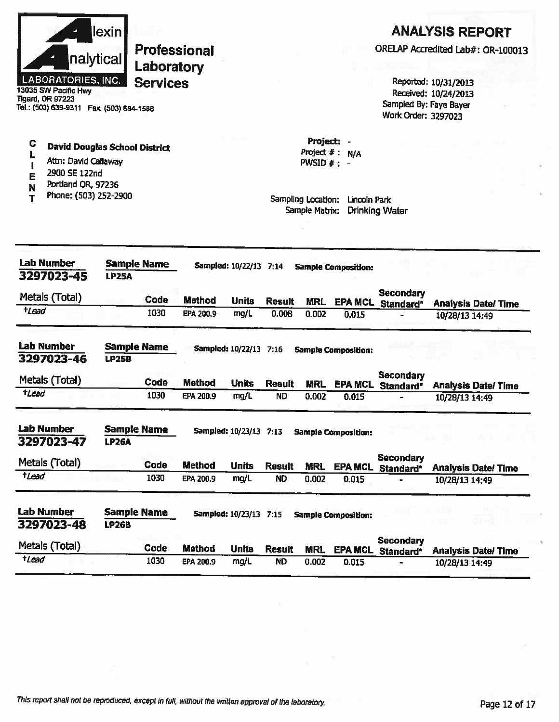|                     | nalytical <br><b>LABORATORIES, INC.</b><br>13035 SW Pacific Hwy<br><b>Tigard, OR 97223</b><br>Tel.: (503) 639-9311  Fax: (503) 684-1588 | lexin l      | <b>Professional</b><br>Laboratory<br><b>Services</b> |                            |                        |                            |                                                                                   |                            | Sampled By: Faye Bayer<br>Work Order: 3297023 | Reported: 10/31/2013<br>Received: 10/24/2013 | <b>ANALYSIS REPORT</b><br>ORELAP Accredited Lab#: OR-100013 |
|---------------------|-----------------------------------------------------------------------------------------------------------------------------------------|--------------|------------------------------------------------------|----------------------------|------------------------|----------------------------|-----------------------------------------------------------------------------------|----------------------------|-----------------------------------------------|----------------------------------------------|-------------------------------------------------------------|
| С<br>E<br>N         | <b>David Douglas School District</b><br>Attn: David Callaway<br>2900 SE 122nd<br>Portland OR, 97236<br>Phone: (503) 252-2900            |              |                                                      |                            |                        |                            | Project:<br>Project $#$ :<br>$PWSID \#$ :<br>Sampling Location:<br>Sample Matrix: | N/A<br>Lincoln Park        | <b>Drinking Water</b>                         |                                              |                                                             |
|                     | <b>Lab Number</b><br>3297023-45                                                                                                         | <b>LP25A</b> | <b>Sample Name</b>                                   |                            | Sampled: 10/22/13 7:14 |                            |                                                                                   | <b>Sample Composition:</b> |                                               |                                              |                                                             |
| $t$ <i>Lead</i>     | Metals (Total)                                                                                                                          |              | Code<br>1030                                         | <b>Method</b><br>EPA 200.9 | <b>Units</b><br>mg/L   | <b>Result</b><br>0.008     | <b>MRL</b><br>0.002                                                               | <b>EPA MCL</b><br>0.015    | <b>Secondary</b><br>Standard*                 | 10/28/13 14:49                               | <b>Analysis Date/Time</b>                                   |
|                     | <b>Lab Number</b><br>3297023-46                                                                                                         | <b>LP25B</b> | <b>Sample Name</b>                                   |                            | Sampled: 10/22/13 7:16 |                            |                                                                                   | <b>Sample Composition:</b> |                                               |                                              |                                                             |
| tLead               | Metals (Total)                                                                                                                          |              | Code<br>1030                                         | <b>Method</b><br>EPA 200.9 | <b>Units</b><br>mg/L   | <b>Result</b><br><b>ND</b> | <b>MRL</b><br>0.002                                                               | 0.015                      | <b>Secondary</b><br>EPA MCL Standard*         | 10/28/13 14:49                               | <b>Analysis Date/Time</b>                                   |
|                     | <b>Lab Number</b><br>3297023-47                                                                                                         | <b>LP26A</b> | <b>Sample Name</b>                                   |                            | Sampled: 10/23/13 7:13 |                            |                                                                                   | <b>Sample Composition:</b> |                                               |                                              |                                                             |
| <i><b>t</b>Lead</i> | Metals (Total)                                                                                                                          |              | Code<br>1030                                         | <b>Method</b><br>EPA 200.9 | <b>Units</b><br>mg/L   | <b>Result</b><br><b>ND</b> | <b>MRL</b><br>0.002                                                               | <b>EPA MCL</b><br>0.015    | <b>Secondary</b><br>Standard*                 | 10/28/13 14:49                               | <b>Analysis Date/ Time</b>                                  |
|                     | <b>Lab Number</b><br>3297023-48                                                                                                         | <b>LP26B</b> | <b>Sample Name</b>                                   |                            | Sampled: 10/23/13 7:15 |                            |                                                                                   | <b>Sample Composition:</b> |                                               |                                              |                                                             |
| $t$ <i>Lead</i>     | Metals (Total)                                                                                                                          |              | Code<br>1030                                         | <b>Method</b><br>EPA 200.9 | <b>Units</b><br>mg/L   | <b>Result</b><br><b>ND</b> | <b>MRL</b><br>0.002                                                               | <b>EPA MCL</b><br>0.015    | <b>Secondary</b><br>Standard*                 | 10/28/13 14:49                               | <b>Analysis Date/Time</b>                                   |

q.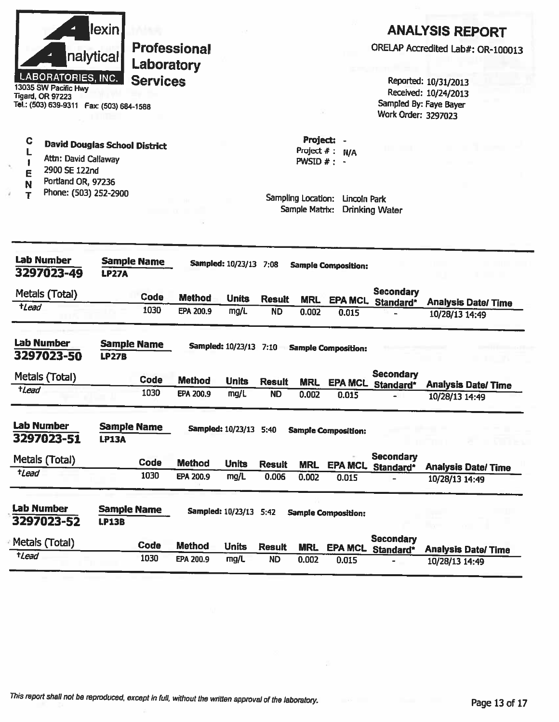|                     | <b>LABORATORIES, INC.</b><br>13035 SW Pacific Hwy<br><b>Tigard, OR 97223</b><br>Tel.: (503) 639-9311  Fax: (503) 684-1588    | lexin<br>nalytical                 | Laboratory<br><b>Services</b> | <b>Professional</b> |                               |               |                                     |                                                | Work Order: 3297023                   | <b>ANALYSIS REPORT</b><br>ORELAP Accredited Lab#: OR-100013<br>Reported: 10/31/2013<br>Received: 10/24/2013<br>Sampled By: Faye Bayer |
|---------------------|------------------------------------------------------------------------------------------------------------------------------|------------------------------------|-------------------------------|---------------------|-------------------------------|---------------|-------------------------------------|------------------------------------------------|---------------------------------------|---------------------------------------------------------------------------------------------------------------------------------------|
| C<br>E<br>N<br>Т    | <b>David Douglas School District</b><br>Attn: David Callaway<br>2900 SE 122nd<br>Portland OR, 97236<br>Phone: (503) 252-2900 |                                    |                               |                     |                               |               | PWSID $# : -$<br>Sampling Location: | Project: -<br>Project $#: N/A$<br>Lincoln Park |                                       |                                                                                                                                       |
|                     |                                                                                                                              |                                    |                               |                     |                               |               | Sample Matrix:                      |                                                | <b>Drinking Water</b>                 |                                                                                                                                       |
|                     | <b>Lab Number</b><br>3297023-49                                                                                              | <b>LP27A</b>                       | <b>Sample Name</b>            |                     | Sampled: 10/23/13 7:08        |               |                                     | <b>Sample Composition:</b>                     |                                       |                                                                                                                                       |
|                     | Metals (Total)                                                                                                               |                                    | Code                          | <b>Method</b>       | <b>Units</b>                  | <b>Result</b> | <b>MRL</b>                          |                                                | <b>Secondary</b>                      |                                                                                                                                       |
| <i><b>t</b>Lead</i> |                                                                                                                              |                                    | 1030                          | EPA 200.9           | mg/L                          | <b>ND</b>     | 0.002                               | <b>EPA MCL</b><br>0.015                        | Standard*                             | <b>Analysis Date/ Time</b><br>10/28/13 14:49                                                                                          |
|                     | <b>Lab Number</b><br>3297023-50                                                                                              | <b>LP27B</b>                       | <b>Sample Name</b>            |                     | Sampled: 10/23/13 7:10        |               |                                     | <b>Sample Composition:</b>                     |                                       |                                                                                                                                       |
|                     | Metals (Total)                                                                                                               |                                    | <b>Code</b>                   | <b>Method</b>       | <b>Units</b>                  | <b>Result</b> | <b>MRL</b>                          |                                                | <b>Secondary</b><br>EPA MCL Standard* | <b>Analysis Date/Time</b>                                                                                                             |
| tLead               |                                                                                                                              |                                    | 1030                          | EPA 200.9           | mg/L                          | <b>ND</b>     | 0.002                               | 0.015                                          |                                       | 10/28/13 14:49                                                                                                                        |
|                     | Lab Number<br>3297023-51                                                                                                     | <b>Sample Name</b><br><b>LP13A</b> |                               |                     | <b>Sampled: 10/23/13 5:40</b> |               |                                     | <b>Sample Composition:</b>                     |                                       |                                                                                                                                       |
|                     | Metals (Total)                                                                                                               |                                    | <b>Code</b>                   | <b>Method</b>       | <b>Units</b>                  | <b>Result</b> | <b>MRL</b>                          |                                                | <b>Secondary</b>                      |                                                                                                                                       |
| <b>tLead</b>        |                                                                                                                              |                                    | 1030                          | EPA 200.9           | mg/L                          | 0.006         | 0.002                               | <b>EPA MCL</b><br>0.015                        | Standard*                             | <b>Analysis Date/Time</b><br>10/28/13 14:49                                                                                           |
|                     | <b>Lab Number</b><br>3297023-52                                                                                              | <b>Sample Name</b><br><b>LP13B</b> |                               |                     | Sampled: 10/23/13 5:42        |               |                                     | <b>Sample Composition:</b>                     |                                       |                                                                                                                                       |
|                     | Metals (Total)                                                                                                               |                                    | Code                          | <b>Method</b>       | <b>Units</b>                  | <b>Result</b> | <b>MRL</b>                          | <b>EPA MCL</b>                                 | <b>Secondary</b><br>Standard*         | <b>Analysis Date/Time</b>                                                                                                             |
| $t$ <i>Lead</i>     |                                                                                                                              |                                    | 1030                          | EPA 200.9           | mg/L                          | <b>ND</b>     | 0.002                               | 0.015                                          |                                       | 10/28/13 14:49                                                                                                                        |

£.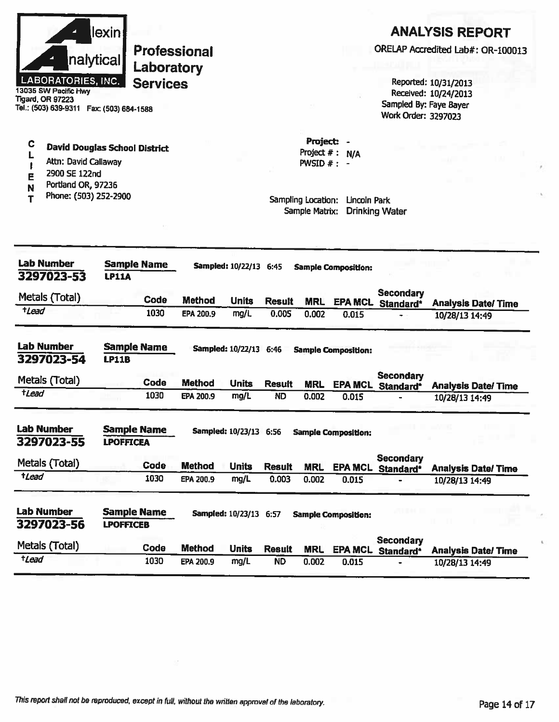|                    | <b>lexin</b> |
|--------------------|--------------|
|                    | nalytical    |
| LABORATORIES, INC. |              |

13035 SW Pacific Hwy **Tigard, OR 97223** Tel.: (503) 639-9311 Fax: (503) 684-1588

#### C David Douglas School District L

- Attn: David Callaway  $\mathbf{I}$
- 2900 SE 122nd E
- Portland OR, 97236 N
- Phone: (503) 252-2900  $\mathbf T$

## **ANALYSIS REPORT**

ORELAP Accredited Lab#: OR-100013

Reported: 10/31/2013 Received: 10/24/2013 Sampled By: Faye Bayer Work Order: 3297023

Project: -Project  $#: N/A$ PWSID  $#$  : -

| <b>Lab Number</b><br>3297023-53 | <b>LP11A</b>                           | <b>Sample Name</b> |               | Sampled: 10/22/13 6:45   |               |            | <b>Sample Composition:</b> |                               |                           |
|---------------------------------|----------------------------------------|--------------------|---------------|--------------------------|---------------|------------|----------------------------|-------------------------------|---------------------------|
| Metals (Total)                  |                                        | Code               | <b>Method</b> | <b>Units</b>             | <b>Result</b> | <b>MRL</b> | <b>EPA MCL</b>             | <b>Secondary</b><br>Standard* | <b>Analysis Date/Time</b> |
| <b>tLead</b>                    |                                        | 1030               | EPA 200.9     | mg/L                     | 0.005         | 0.002      | 0.015                      |                               | 10/28/13 14:49            |
| <b>Lab Number</b><br>3297023-54 | <b>LP11B</b>                           | Sampie Name        |               | <b>Sampled: 10/22/13</b> | 6:46          |            | <b>Sample Composition:</b> |                               |                           |
| Metals (Total)                  |                                        | Code               | <b>Method</b> | <b>Units</b>             | <b>Result</b> | <b>MRL</b> | <b>EPA MCL</b>             | <b>Secondary</b><br>Standard* | <b>Analysis Date/Time</b> |
| tLead                           |                                        | 1030               | EPA 200.9     | mg/L                     | <b>ND</b>     | 0.002      | 0.015                      |                               | 10/28/13 14:49            |
| <b>Lab Number</b><br>3297023-55 | <b>Sample Name</b><br><b>LPOFFICEA</b> |                    |               | Sampled: 10/23/13 6:56   |               |            | <b>Sample Composition:</b> |                               |                           |
| Metals (Total)                  |                                        | <b>Code</b>        | <b>Method</b> | <b>Units</b>             | <b>Result</b> | <b>MRL</b> | <b>EPA MCL</b>             | <b>Secondary</b><br>Standard* | <b>Analysis Date/Time</b> |
| tLead                           |                                        | 1030               | EPA 200.9     | mg/L                     | 0.003         | 0.002      | 0.015                      |                               | 10/28/13 14:49            |
| Lab Number<br>3297023-56        | <b>Sample Name</b><br><b>LPOFFICEB</b> |                    |               | <b>Sampled: 10/23/13</b> | 6:57          |            | <b>Sample Composition:</b> |                               |                           |
| Metals (Total)                  |                                        | Code               | <b>Method</b> | <b>Units</b>             | <b>Result</b> | <b>MRL</b> | <b>EPA MCL</b>             | <b>Secondary</b><br>Standard* | <b>Analysis Date/Time</b> |
| <b>tLead</b>                    |                                        | 1030               | EPA 200.9     | mg/L                     | <b>ND</b>     | 0.002      | 0.015                      |                               | 10/28/13 14:49            |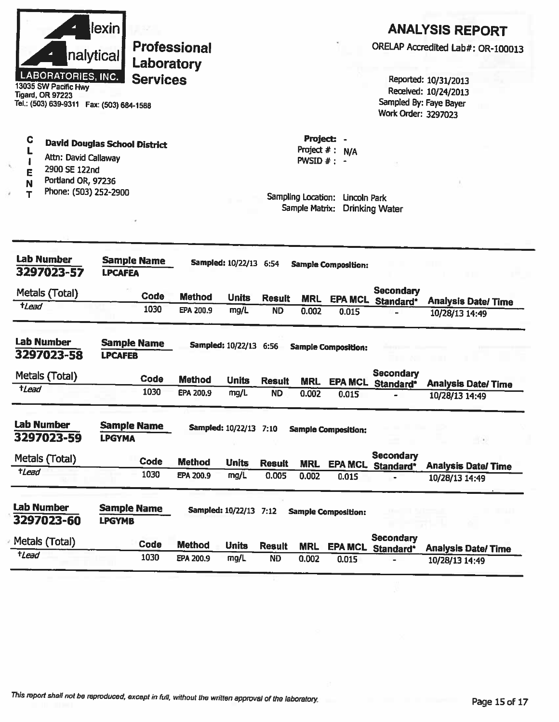| <b>LABORATORIES, INC.</b><br>13035 SW Pacific Hwy<br>Tigard, OR 97223<br>Tel.: (503) 639-9311  Fax: (503) 684-1588                               | lexin <br>nalytical                 | Laboratory<br><b>Services</b> | <b>Professional</b> |                               |               |                               |                                                                                       | Work Order: 3297023                   | <b>ANALYSIS REPORT</b><br>ORELAP Accredited Lab#: OR-100013<br>Reported: 10/31/2013<br>Received: 10/24/2013<br>Sampled By: Faye Bayer |
|--------------------------------------------------------------------------------------------------------------------------------------------------|-------------------------------------|-------------------------------|---------------------|-------------------------------|---------------|-------------------------------|---------------------------------------------------------------------------------------|---------------------------------------|---------------------------------------------------------------------------------------------------------------------------------------|
| С<br><b>David Douglas School District</b><br>Attn: David Callaway<br>2900 SE 122nd<br>E<br>Portland OR, 97236<br>N<br>Phone: (503) 252-2900<br>т |                                     |                               |                     |                               |               | Project $#:$<br>PWSID $#$ : - | Project: -<br>N/A<br>Sampling Location: Lincoln Park<br>Sample Matrix: Drinking Water |                                       |                                                                                                                                       |
| <b>Lab Number</b><br>3297023-57                                                                                                                  | <b>LPCAFEA</b>                      | <b>Sample Name</b>            |                     | Sampled: 10/22/13 6:54        |               |                               | <b>Sample Composition:</b>                                                            |                                       |                                                                                                                                       |
| Metals (Total)                                                                                                                                   |                                     | Code                          | <b>Method</b>       | <b>Units</b>                  | <b>Result</b> | <b>MRL</b>                    | <b>EPA MCL</b>                                                                        | <b>Secondary</b>                      |                                                                                                                                       |
| $t$ <i>Lead</i>                                                                                                                                  |                                     | 1030                          | EPA 200.9           | mg/L                          | <b>ND</b>     | 0.002                         | 0.015                                                                                 | Standard*                             | <b>Analysis Date/Time</b><br>10/28/13 14:49                                                                                           |
| <b>Lab Number</b><br>3297023-58                                                                                                                  | <b>LPCAFEB</b>                      | <b>Sample Name</b>            |                     | Sampled: 10/22/13 6:56        |               |                               | <b>Sample Composition:</b>                                                            |                                       |                                                                                                                                       |
| Metals (Total)                                                                                                                                   |                                     | Code                          | <b>Method</b>       | <b>Units</b>                  | <b>Result</b> | <b>MRL</b>                    |                                                                                       | <b>Secondary</b><br>EPA MCL Standard* | <b>Analysis Date/Time</b>                                                                                                             |
| $t$ <i>Lead</i>                                                                                                                                  |                                     | 1030                          | EPA 200.9           | mg/L                          | <b>ND</b>     | 0.002                         | 0.015                                                                                 |                                       | 10/28/13 14:49                                                                                                                        |
| <b>Lab Number</b><br>3297023-59                                                                                                                  | <b>Sample Name</b><br><b>LPGYMA</b> |                               |                     | <b>Sampled: 10/22/13 7:10</b> |               |                               | <b>Sample Composition:</b>                                                            |                                       | $-1.30$                                                                                                                               |
| Metals (Total)                                                                                                                                   |                                     | Code                          | <b>Method</b>       | <b>Units</b>                  | <b>Result</b> |                               |                                                                                       | Secondary                             |                                                                                                                                       |
| $t$ <i>Lead</i>                                                                                                                                  |                                     | 1030                          | EPA 200.9           | mg/L                          | 0.005         | <b>MRL</b><br>0.002           | <b>EPA MCL</b><br>0.015                                                               | Standard*                             | <b>Analysis Date/Time</b><br>10/28/13 14:49                                                                                           |
| <b>Lab Number</b><br>3297023-60                                                                                                                  | <b>Sample Name</b><br><b>LPGYMB</b> |                               |                     | Sampled: 10/22/13 7:12        |               |                               | <b>Sample Composition:</b>                                                            |                                       |                                                                                                                                       |
|                                                                                                                                                  |                                     |                               |                     |                               |               |                               |                                                                                       |                                       |                                                                                                                                       |
| Metals (Total)                                                                                                                                   |                                     | Code                          | <b>Method</b>       | <b>Units</b>                  | <b>Result</b> | <b>MRL</b>                    | <b>EPA MCL</b>                                                                        | Secondary<br>Standard*                | <b>Analysis Date/Time</b>                                                                                                             |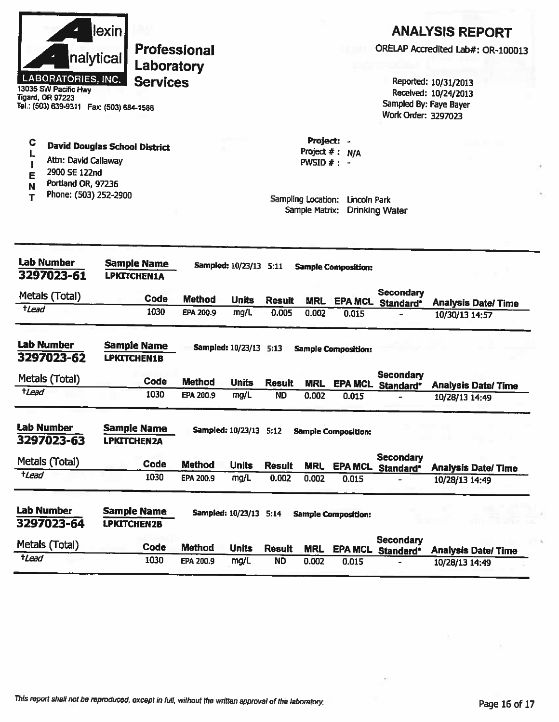| llexin l                  |
|---------------------------|
| nalytical                 |
| <b>LABORATORIES, INC.</b> |

13035 SW Pacific Hwy **Tigard, OR 97223** Tel.: (503) 639-9311 Fax: (503) 684-1588

## **ANALYSIS REPORT**

ORELAP Accredited Lab#: OR-100013

Reported: 10/31/2013 Received: 10/24/2013 Sampled By: Faye Bayer Work Order: 3297023

**David Douglas School District** Attn: David Callaway

- $\pmb{\mathbb{I}}$ 2900 SE 122nd
- E

 $\mathbf C$ 

L

- Portland OR, 97236 Ń
- Phone: (503) 252-2900 T

Project: -Project  $#: N/A$ PWSID  $#: -$ 

| <b>Lab Number</b><br>3297023-61 | <b>Sample Name</b><br><b>LPKITCHEN1A</b> | Sampled: 10/23/13 5:11<br><b>Sample Composition:</b> |                          |               |            |                            |                               |                           |
|---------------------------------|------------------------------------------|------------------------------------------------------|--------------------------|---------------|------------|----------------------------|-------------------------------|---------------------------|
| Metals (Total)                  | <b>Code</b>                              | <b>Method</b>                                        | <b>Units</b>             | <b>Result</b> | <b>MRL</b> | <b>EPA MCL</b>             | <b>Secondary</b><br>Standard* | <b>Analysis Date/Time</b> |
| tLead                           | 1030                                     | EPA 200.9                                            | mg/L                     | 0.005         | 0.002      | 0.015                      |                               | 10/30/13 14:57            |
| <b>Lab Number</b><br>3297023-62 | Sample Name<br><b>LPKITCHEN1B</b>        |                                                      | <b>Sampled: 10/23/13</b> | 5:13          |            | <b>Sample Composition:</b> |                               |                           |
| Metals (Total)                  | Code                                     | <b>Method</b>                                        | <b>Units</b>             | <b>Result</b> | <b>MRL</b> | <b>EPA MCL</b>             | <b>Secondary</b><br>Standard* | <b>Analysis Date/Time</b> |
| <b>tLead</b>                    | 1030                                     | EPA 200.9                                            | mg/L                     | <b>ND</b>     | 0.002      | 0.015                      |                               | 10/28/13 14:49            |
| <b>Lab Number</b><br>3297023-63 | <b>Sample Name</b><br><b>LPKITCHEN2A</b> |                                                      | Sampled: 10/23/13 5:12   |               |            | <b>Sample Composition:</b> |                               |                           |
| Metals (Total)                  | Code                                     | <b>Method</b>                                        | <b>Units</b>             | <b>Result</b> | <b>MRL</b> | <b>EPA MCL</b>             | <b>Secondary</b><br>Standard* | <b>Analysis Date/Time</b> |
| <i><b>tLead</b></i>             | 1030                                     | EPA 200.9                                            | mg/L                     | 0.002         | 0.002      | 0.015                      |                               | 10/28/13 14:49            |
| <b>Lab Number</b><br>3297023-64 | <b>Sample Name</b><br><b>LPKITCHEN2B</b> |                                                      | <b>Sampled: 10/23/13</b> | 5:14          |            | <b>Sample Composition:</b> |                               |                           |
| Metals (Total)                  | Code                                     | <b>Method</b>                                        | <b>Units</b>             | <b>Result</b> | <b>MRL</b> | <b>EPA MCL</b>             | <b>Secondary</b><br>Standard* | <b>Analysis Date/Time</b> |
| $t$ <i>Lead</i>                 | 1030                                     | EPA 200.9                                            | mg/L                     | <b>ND</b>     | 0.002      | 0.015                      |                               | 10/28/13 14:49            |